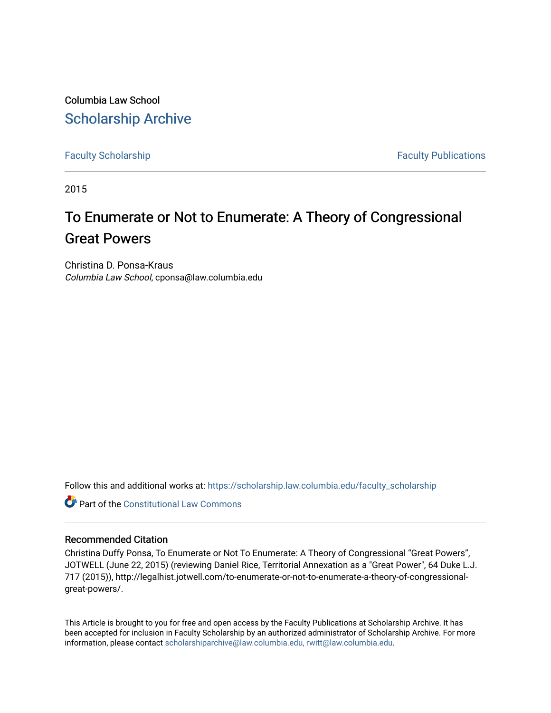Columbia Law School [Scholarship Archive](https://scholarship.law.columbia.edu/) 

[Faculty Scholarship](https://scholarship.law.columbia.edu/faculty_scholarship) **Faculty Scholarship Faculty Publications** 

2015

## To Enumerate or Not to Enumerate: A Theory of Congressional Great Powers

Christina D. Ponsa-Kraus Columbia Law School, cponsa@law.columbia.edu

Follow this and additional works at: [https://scholarship.law.columbia.edu/faculty\\_scholarship](https://scholarship.law.columbia.edu/faculty_scholarship?utm_source=scholarship.law.columbia.edu%2Ffaculty_scholarship%2F3261&utm_medium=PDF&utm_campaign=PDFCoverPages)

**C** Part of the Constitutional Law Commons

## Recommended Citation

Christina Duffy Ponsa, To Enumerate or Not To Enumerate: A Theory of Congressional "Great Powers", JOTWELL (June 22, 2015) (reviewing Daniel Rice, Territorial Annexation as a "Great Power", 64 Duke L.J. 717 (2015)), http://legalhist.jotwell.com/to-enumerate-or-not-to-enumerate-a-theory-of-congressionalgreat-powers/.

This Article is brought to you for free and open access by the Faculty Publications at Scholarship Archive. It has been accepted for inclusion in Faculty Scholarship by an authorized administrator of Scholarship Archive. For more information, please contact [scholarshiparchive@law.columbia.edu, rwitt@law.columbia.edu](mailto:scholarshiparchive@law.columbia.edu,%20rwitt@law.columbia.edu).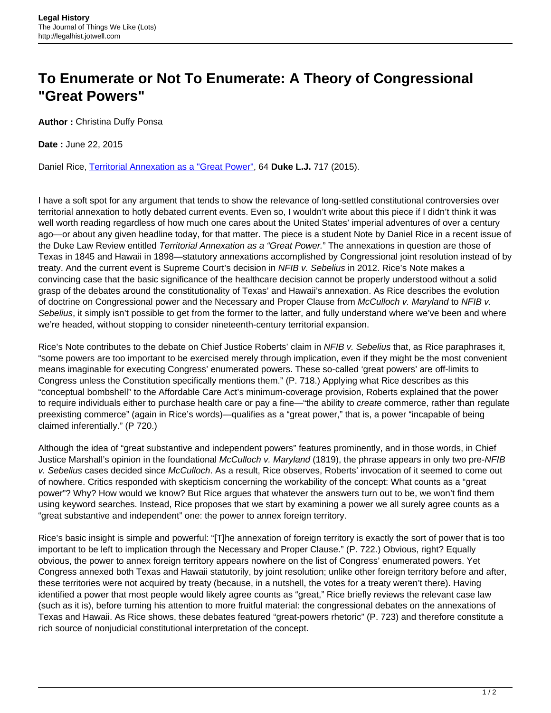## **To Enumerate or Not To Enumerate: A Theory of Congressional "Great Powers"**

**Author :** Christina Duffy Ponsa

**Date :** June 22, 2015

Daniel Rice, [Territorial Annexation as a "Great Power",](http://scholarship.law.duke.edu/dlj/vol64/iss4/3/) 64 **Duke L.J.** 717 (2015).

I have a soft spot for any argument that tends to show the relevance of long-settled constitutional controversies over territorial annexation to hotly debated current events. Even so, I wouldn't write about this piece if I didn't think it was well worth reading regardless of how much one cares about the United States' imperial adventures of over a century ago—or about any given headline today, for that matter. The piece is a student Note by Daniel Rice in a recent issue of the Duke Law Review entitled Territorial Annexation as a "Great Power." The annexations in question are those of Texas in 1845 and Hawaii in 1898—statutory annexations accomplished by Congressional joint resolution instead of by treaty. And the current event is Supreme Court's decision in NFIB v. Sebelius in 2012. Rice's Note makes a convincing case that the basic significance of the healthcare decision cannot be properly understood without a solid grasp of the debates around the constitutionality of Texas' and Hawaii's annexation. As Rice describes the evolution of doctrine on Congressional power and the Necessary and Proper Clause from McCulloch v. Maryland to NFIB v. Sebelius, it simply isn't possible to get from the former to the latter, and fully understand where we've been and where we're headed, without stopping to consider nineteenth-century territorial expansion.

Rice's Note contributes to the debate on Chief Justice Roberts' claim in NFIB v. Sebelius that, as Rice paraphrases it, "some powers are too important to be exercised merely through implication, even if they might be the most convenient means imaginable for executing Congress' enumerated powers. These so-called 'great powers' are off-limits to Congress unless the Constitution specifically mentions them." (P. 718.) Applying what Rice describes as this "conceptual bombshell" to the Affordable Care Act's minimum-coverage provision, Roberts explained that the power to require individuals either to purchase health care or pay a fine—"the ability to *create* commerce, rather than regulate preexisting commerce" (again in Rice's words)—qualifies as a "great power," that is, a power "incapable of being claimed inferentially." (P 720.)

Although the idea of "great substantive and independent powers" features prominently, and in those words, in Chief Justice Marshall's opinion in the foundational McCulloch v. Maryland (1819), the phrase appears in only two pre-NFIB v. Sebelius cases decided since McCulloch. As a result, Rice observes, Roberts' invocation of it seemed to come out of nowhere. Critics responded with skepticism concerning the workability of the concept: What counts as a "great power"? Why? How would we know? But Rice argues that whatever the answers turn out to be, we won't find them using keyword searches. Instead, Rice proposes that we start by examining a power we all surely agree counts as a "great substantive and independent" one: the power to annex foreign territory.

Rice's basic insight is simple and powerful: "[T]he annexation of foreign territory is exactly the sort of power that is too important to be left to implication through the Necessary and Proper Clause." (P. 722.) Obvious, right? Equally obvious, the power to annex foreign territory appears nowhere on the list of Congress' enumerated powers. Yet Congress annexed both Texas and Hawaii statutorily, by joint resolution; unlike other foreign territory before and after, these territories were not acquired by treaty (because, in a nutshell, the votes for a treaty weren't there). Having identified a power that most people would likely agree counts as "great," Rice briefly reviews the relevant case law (such as it is), before turning his attention to more fruitful material: the congressional debates on the annexations of Texas and Hawaii. As Rice shows, these debates featured "great-powers rhetoric" (P. 723) and therefore constitute a rich source of nonjudicial constitutional interpretation of the concept.